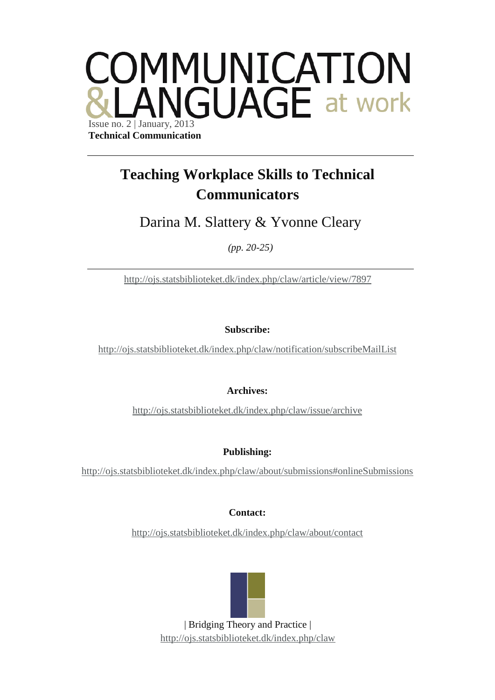

## **Teaching Workplace Skills to Technical Communicators**

Darina M. Slattery & Yvonne Cleary

*(pp. 20-25)*

<http://ojs.statsbiblioteket.dk/index.php/claw/article/view/7897>

**Subscribe:**

<http://ojs.statsbiblioteket.dk/index.php/claw/notification/subscribeMailList>

**Archives:**

<http://ojs.statsbiblioteket.dk/index.php/claw/issue/archive>

**Publishing:**

<http://ojs.statsbiblioteket.dk/index.php/claw/about/submissions#onlineSubmissions>

**Contact:**

<http://ojs.statsbiblioteket.dk/index.php/claw/about/contact>



| Bridging Theory and Practice | <http://ojs.statsbiblioteket.dk/index.php/claw>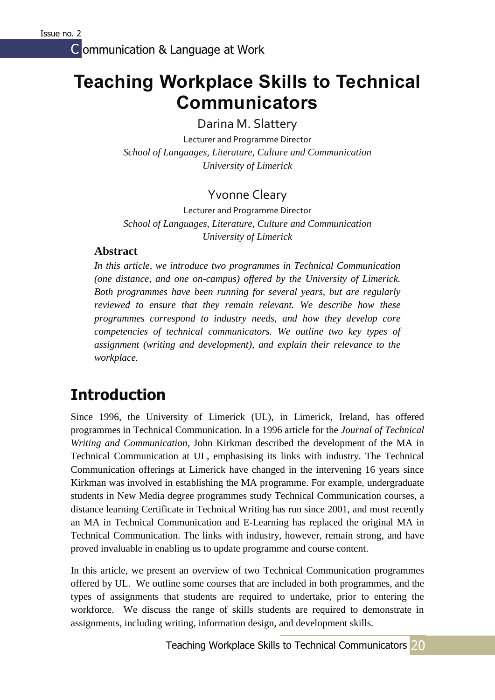# **Teaching Workplace Skills to Technical Communicators**

Darina M. Slattery

Lecturer and Programme Director *School of Languages, Literature, Culture and Communication University of Limerick*

### Yvonne Cleary

Lecturer and Programme Director *School of Languages, Literature, Culture and Communication University of Limerick*

#### **Abstract**

*In this article, we introduce two programmes in Technical Communication (one distance, and one on-campus) offered by the University of Limerick. Both programmes have been running for several years, but are regularly reviewed to ensure that they remain relevant. We describe how these programmes correspond to industry needs, and how they develop core competencies of technical communicators. We outline two key types of assignment (writing and development), and explain their relevance to the workplace.*

# **Introduction**

Since 1996, the University of Limerick (UL), in Limerick, Ireland, has offered programmes in Technical Communication. In a 1996 article for the *Journal of Technical Writing and Communication,* John Kirkman described the development of the MA in Technical Communication at UL, emphasising its links with industry. The Technical Communication offerings at Limerick have changed in the intervening 16 years since Kirkman was involved in establishing the MA programme. For example, undergraduate students in New Media degree programmes study Technical Communication courses, a distance learning Certificate in Technical Writing has run since 2001, and most recently an MA in Technical Communication and E-Learning has replaced the original MA in Technical Communication. The links with industry, however, remain strong, and have proved invaluable in enabling us to update programme and course content.

In this article, we present an overview of two Technical Communication programmes offered by UL. We outline some courses that are included in both programmes, and the types of assignments that students are required to undertake, prior to entering the workforce. We discuss the range of skills students are required to demonstrate in assignments, including writing, information design, and development skills.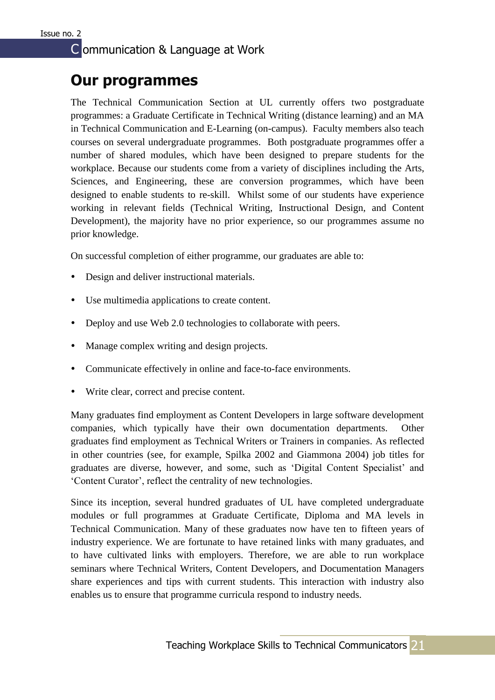### **Our programmes**

The Technical Communication Section at UL currently offers two postgraduate programmes: a Graduate Certificate in Technical Writing (distance learning) and an MA in Technical Communication and E-Learning (on-campus). Faculty members also teach courses on several undergraduate programmes. Both postgraduate programmes offer a number of shared modules, which have been designed to prepare students for the workplace. Because our students come from a variety of disciplines including the Arts, Sciences, and Engineering, these are conversion programmes, which have been designed to enable students to re-skill. Whilst some of our students have experience working in relevant fields (Technical Writing, Instructional Design, and Content Development), the majority have no prior experience, so our programmes assume no prior knowledge.

On successful completion of either programme, our graduates are able to:

- Design and deliver instructional materials.
- Use multimedia applications to create content.
- Deploy and use Web 2.0 technologies to collaborate with peers.
- Manage complex writing and design projects.
- Communicate effectively in online and face-to-face environments.
- Write clear, correct and precise content.

Many graduates find employment as Content Developers in large software development companies, which typically have their own documentation departments. Other graduates find employment as Technical Writers or Trainers in companies. As reflected in other countries (see, for example, Spilka 2002 and Giammona 2004) job titles for graduates are diverse, however, and some, such as 'Digital Content Specialist' and 'Content Curator', reflect the centrality of new technologies.

Since its inception, several hundred graduates of UL have completed undergraduate modules or full programmes at Graduate Certificate, Diploma and MA levels in Technical Communication. Many of these graduates now have ten to fifteen years of industry experience. We are fortunate to have retained links with many graduates, and to have cultivated links with employers. Therefore, we are able to run workplace seminars where Technical Writers, Content Developers, and Documentation Managers share experiences and tips with current students. This interaction with industry also enables us to ensure that programme curricula respond to industry needs.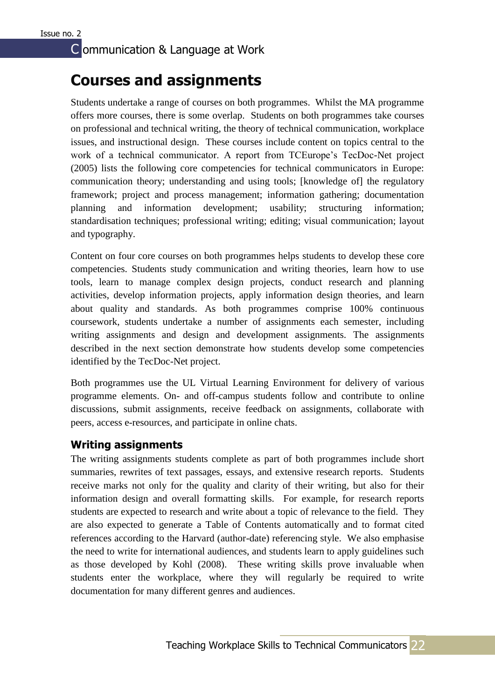### **Courses and assignments**

Students undertake a range of courses on both programmes. Whilst the MA programme offers more courses, there is some overlap. Students on both programmes take courses on professional and technical writing, the theory of technical communication, workplace issues, and instructional design. These courses include content on topics central to the work of a technical communicator. A report from TCEurope's TecDoc-Net project (2005) lists the following core competencies for technical communicators in Europe: communication theory; understanding and using tools; [knowledge of] the regulatory framework; project and process management; information gathering; documentation planning and information development; usability; structuring information; standardisation techniques; professional writing; editing; visual communication; layout and typography.

Content on four core courses on both programmes helps students to develop these core competencies. Students study communication and writing theories, learn how to use tools, learn to manage complex design projects, conduct research and planning activities, develop information projects, apply information design theories, and learn about quality and standards. As both programmes comprise 100% continuous coursework, students undertake a number of assignments each semester, including writing assignments and design and development assignments. The assignments described in the next section demonstrate how students develop some competencies identified by the TecDoc-Net project.

Both programmes use the UL Virtual Learning Environment for delivery of various programme elements. On- and off-campus students follow and contribute to online discussions, submit assignments, receive feedback on assignments, collaborate with peers, access e-resources, and participate in online chats.

#### **Writing assignments**

The writing assignments students complete as part of both programmes include short summaries, rewrites of text passages, essays, and extensive research reports. Students receive marks not only for the quality and clarity of their writing, but also for their information design and overall formatting skills. For example, for research reports students are expected to research and write about a topic of relevance to the field. They are also expected to generate a Table of Contents automatically and to format cited references according to the Harvard (author-date) referencing style. We also emphasise the need to write for international audiences, and students learn to apply guidelines such as those developed by Kohl (2008). These writing skills prove invaluable when students enter the workplace, where they will regularly be required to write documentation for many different genres and audiences.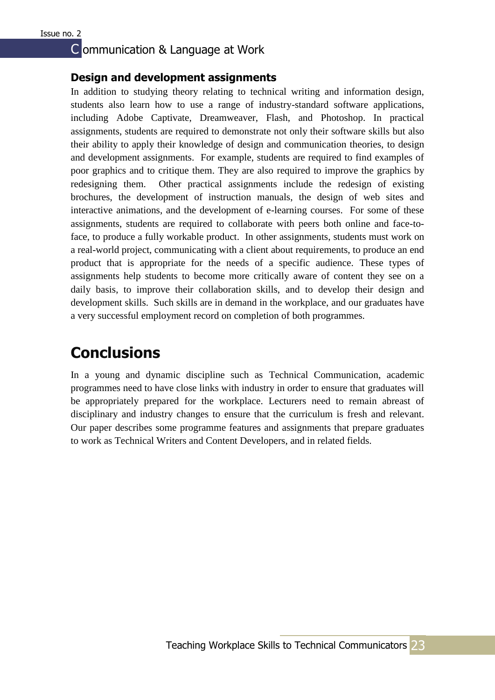#### **Design and development assignments**

In addition to studying theory relating to technical writing and information design, students also learn how to use a range of industry-standard software applications, including Adobe Captivate, Dreamweaver, Flash, and Photoshop. In practical assignments, students are required to demonstrate not only their software skills but also their ability to apply their knowledge of design and communication theories, to design and development assignments. For example, students are required to find examples of poor graphics and to critique them. They are also required to improve the graphics by redesigning them. Other practical assignments include the redesign of existing brochures, the development of instruction manuals, the design of web sites and interactive animations, and the development of e-learning courses. For some of these assignments, students are required to collaborate with peers both online and face-toface, to produce a fully workable product. In other assignments, students must work on a real-world project, communicating with a client about requirements, to produce an end product that is appropriate for the needs of a specific audience. These types of assignments help students to become more critically aware of content they see on a daily basis, to improve their collaboration skills, and to develop their design and development skills. Such skills are in demand in the workplace, and our graduates have a very successful employment record on completion of both programmes.

### **Conclusions**

In a young and dynamic discipline such as Technical Communication, academic programmes need to have close links with industry in order to ensure that graduates will be appropriately prepared for the workplace. Lecturers need to remain abreast of disciplinary and industry changes to ensure that the curriculum is fresh and relevant. Our paper describes some programme features and assignments that prepare graduates to work as Technical Writers and Content Developers, and in related fields.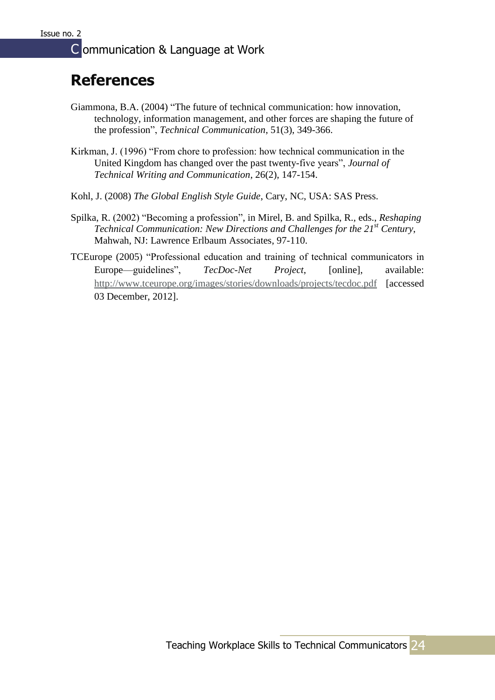### **References**

- Giammona, B.A. (2004) "The future of technical communication: how innovation, technology, information management, and other forces are shaping the future of the profession", *Technical Communication*, 51(3), 349-366.
- Kirkman, J. (1996) "From chore to profession: how technical communication in the United Kingdom has changed over the past twenty-five years", *Journal of Technical Writing and Communication*, 26(2), 147-154.
- Kohl, J. (2008) *The Global English Style Guide*, Cary, NC, USA: SAS Press.
- Spilka, R. (2002) "Becoming a profession", in Mirel, B. and Spilka, R., eds., *Reshaping Technical Communication: New Directions and Challenges for the 21st Century*, Mahwah, NJ: Lawrence Erlbaum Associates, 97-110.
- TCEurope (2005) "Professional education and training of technical communicators in Europe—guidelines", *TecDoc-Net Project*, [online], available: <http://www.tceurope.org/images/stories/downloads/projects/tecdoc.pdf> [accessed 03 December, 2012].